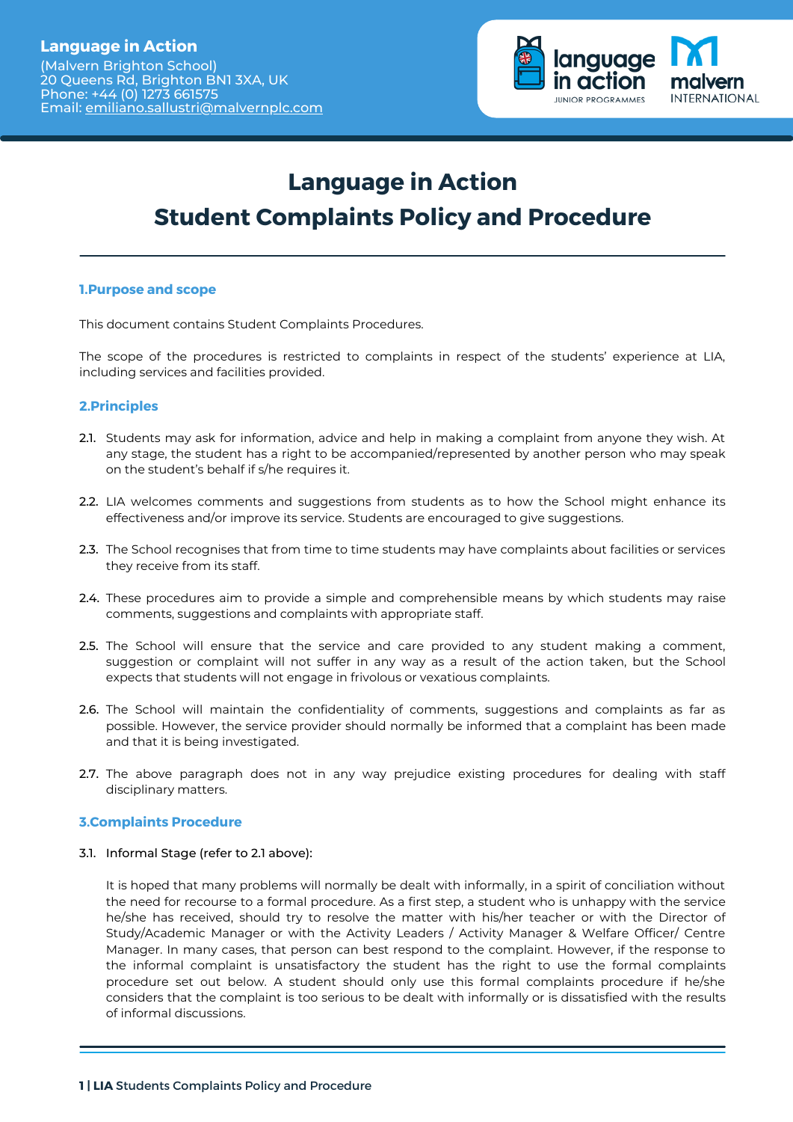

# **Language in Action Student Complaints Policy and Procedure**

# **1.Purpose and scope**

This document contains Student Complaints Procedures.

The scope of the procedures is restricted to complaints in respect of the students' experience at LIA, including services and facilities provided.

# **2.Principles**

- 2.1. Students may ask for information, advice and help in making a complaint from anyone they wish. At any stage, the student has a right to be accompanied/represented by another person who may speak on the student's behalf if s/he requires it.
- LIA welcomes comments and suggestions from students as to how the School might enhance its 2.2. effectiveness and/or improve its service. Students are encouraged to give suggestions.
- 2.3. The School recognises that from time to time students may have complaints about facilities or services they receive from its staff.
- 2.4. These procedures aim to provide a simple and comprehensible means by which students may raise comments, suggestions and complaints with appropriate staff.
- 2.5. The School will ensure that the service and care provided to any student making a comment, suggestion or complaint will not suffer in any way as a result of the action taken, but the School expects that students will not engage in frivolous or vexatious complaints.
- **2.6.** The School will maintain the confidentiality of comments, suggestions and complaints as far as possible. However, the service provider should normally be informed that a complaint has been made and that it is being investigated.
- **2.7.** The above paragraph does not in any way prejudice existing procedures for dealing with staff disciplinary matters.

# **3.Complaints Procedure**

3.1. Informal Stage (refer to 2.1 above):

It is hoped that many problems will normally be dealt with informally, in a spirit of conciliation without the need for recourse to a formal procedure. As a first step, a student who is unhappy with the service he/she has received, should try to resolve the matter with his/her teacher or with the Director of Study/Academic Manager or with the Activity Leaders / Activity Manager & Welfare Officer/ Centre Manager. In many cases, that person can best respond to the complaint. However, if the response to the informal complaint is unsatisfactory the student has the right to use the formal complaints procedure set out below. A student should only use this formal complaints procedure if he/she considers that the complaint is too serious to be dealt with informally or is dissatisfied with the results of informal discussions.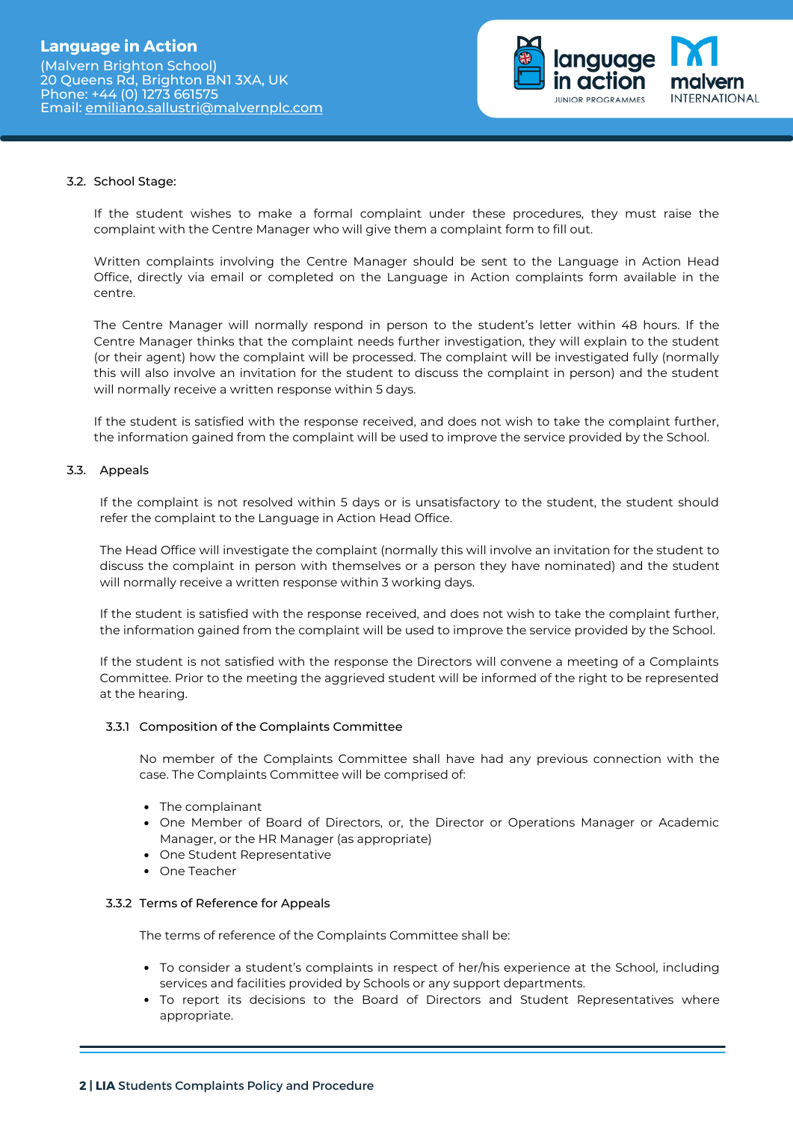

#### 3.2. School Stage:

If the student wishes to make a formal complaint under these procedures, they must raise the complaint with the Centre Manager who will give them a complaint form to fill out.

Written complaints involving the Centre Manager should be sent to the Language in Action Head Office, directly via email or completed on the Language in Action complaints form available in the centre.

The Centre Manager will normally respond in person to the student's letter within 48 hours. If the Centre Manager thinks that the complaint needs further investigation, they will explain to the student (or their agent) how the complaint will be processed. The complaint will be investigated fully (normally this will also involve an invitation for the student to discuss the complaint in person) and the student will normally receive a written response within 5 days.

If the student is satisfied with the response received, and does not wish to take the complaint further, the information gained from the complaint will be used to improve the service provided by the School.

#### 3.3. Appeals

If the complaint is not resolved within 5 days or is unsatisfactory to the student, the student should refer the complaint to the Language in Action Head Office.

The Head Office will investigate the complaint (normally this will involve an invitation for the student to discuss the complaint in person with themselves or a person they have nominated) and the student will normally receive a written response within 3 working days.

If the student is satisfied with the response received, and does not wish to take the complaint further, the information gained from the complaint will be used to improve the service provided by the School.

If the student is not satisfied with the response the Directors will convene a meeting of a Complaints Committee. Prior to the meeting the aggrieved student will be informed of the right to be represented at the hearing.

#### 3.3.1 Composition of the Complaints Committee

No member of the Complaints Committee shall have had any previous connection with the case. The Complaints Committee will be comprised of:

- The complainant
- One Member of Board of Directors, or, the Director or Operations Manager or Academic Manager, or the HR Manager (as appropriate)
- One Student Representative
- One Teacher

#### 3.3.2 Terms of Reference for Appeals

The terms of reference of the Complaints Committee shall be:

- To consider a student's complaints in respect of her/his experience at the School, including services and facilities provided by Schools or any support departments.
- To report its decisions to the Board of Directors and Student Representatives where appropriate.